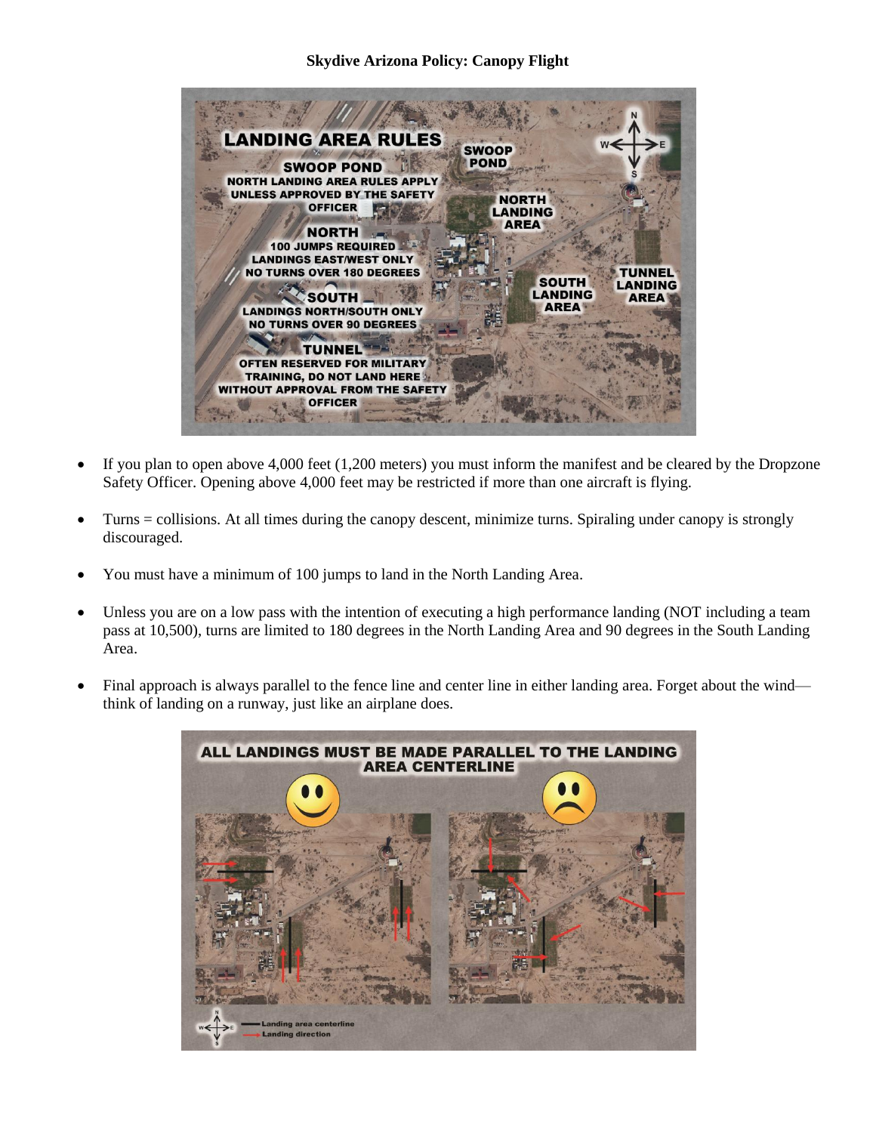## **Skydive Arizona Policy: Canopy Flight**



- If you plan to open above 4,000 feet (1,200 meters) you must inform the manifest and be cleared by the Dropzone Safety Officer. Opening above 4,000 feet may be restricted if more than one aircraft is flying.
- Turns = collisions. At all times during the canopy descent, minimize turns. Spiraling under canopy is strongly discouraged.
- You must have a minimum of 100 jumps to land in the North Landing Area.
- Unless you are on a low pass with the intention of executing a high performance landing (NOT including a team pass at 10,500), turns are limited to 180 degrees in the North Landing Area and 90 degrees in the South Landing Area.
- Final approach is always parallel to the fence line and center line in either landing area. Forget about the wind think of landing on a runway, just like an airplane does.

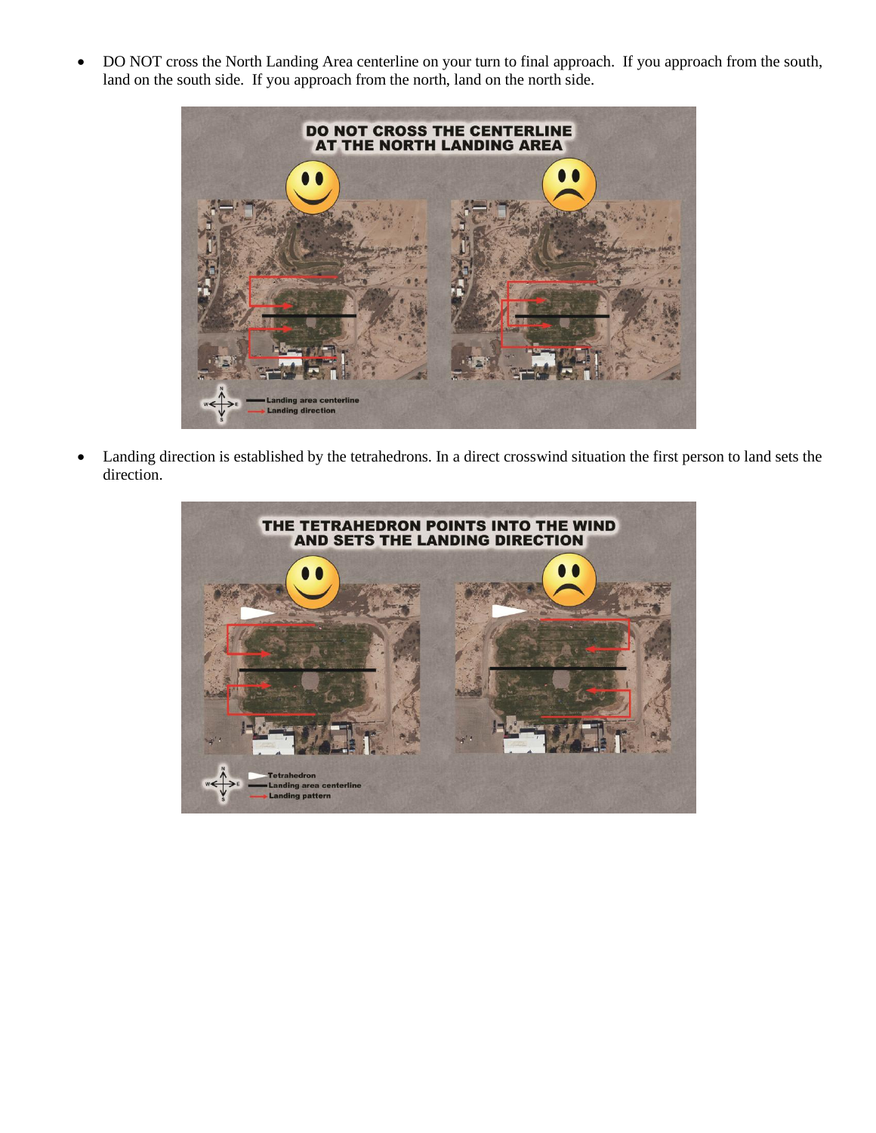DO NOT cross the North Landing Area centerline on your turn to final approach. If you approach from the south, land on the south side. If you approach from the north, land on the north side.



 Landing direction is established by the tetrahedrons. In a direct crosswind situation the first person to land sets the direction.

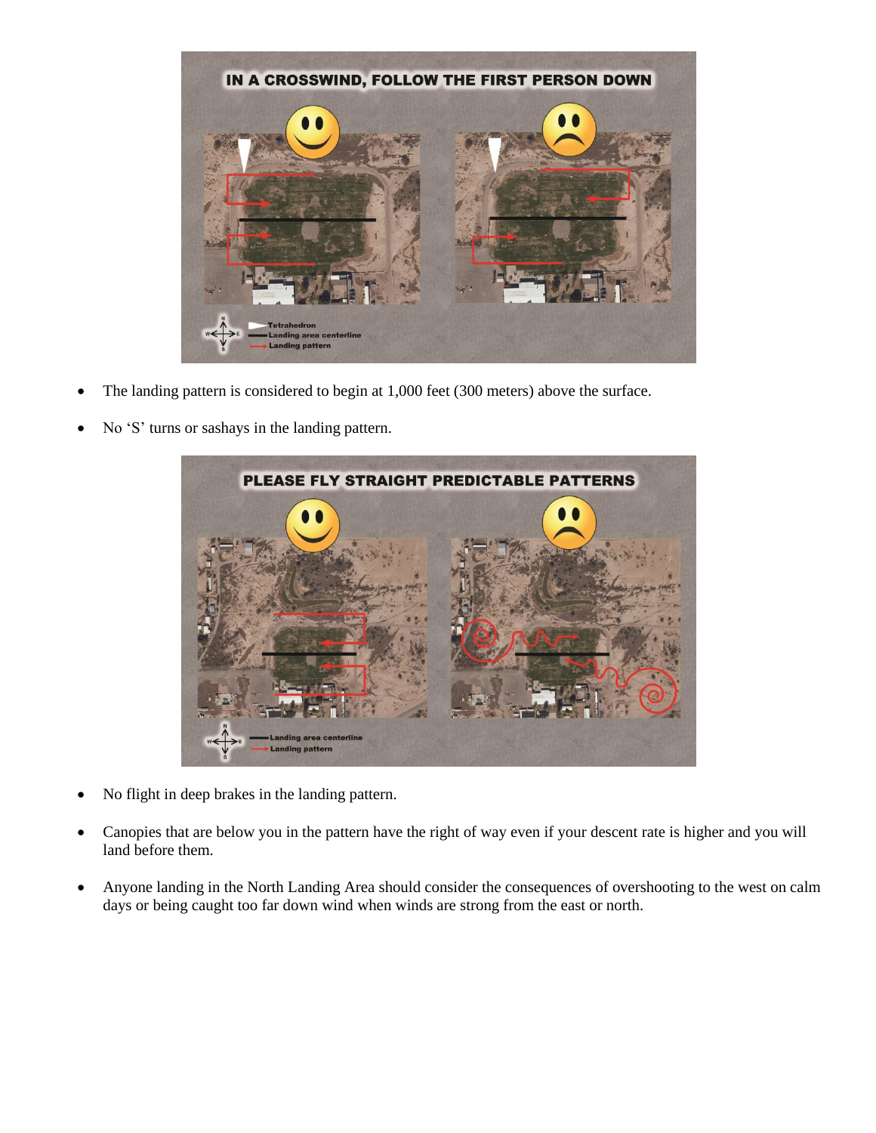

- The landing pattern is considered to begin at 1,000 feet (300 meters) above the surface.
- No 'S' turns or sashays in the landing pattern.



- No flight in deep brakes in the landing pattern.
- Canopies that are below you in the pattern have the right of way even if your descent rate is higher and you will land before them.
- Anyone landing in the North Landing Area should consider the consequences of overshooting to the west on calm days or being caught too far down wind when winds are strong from the east or north.